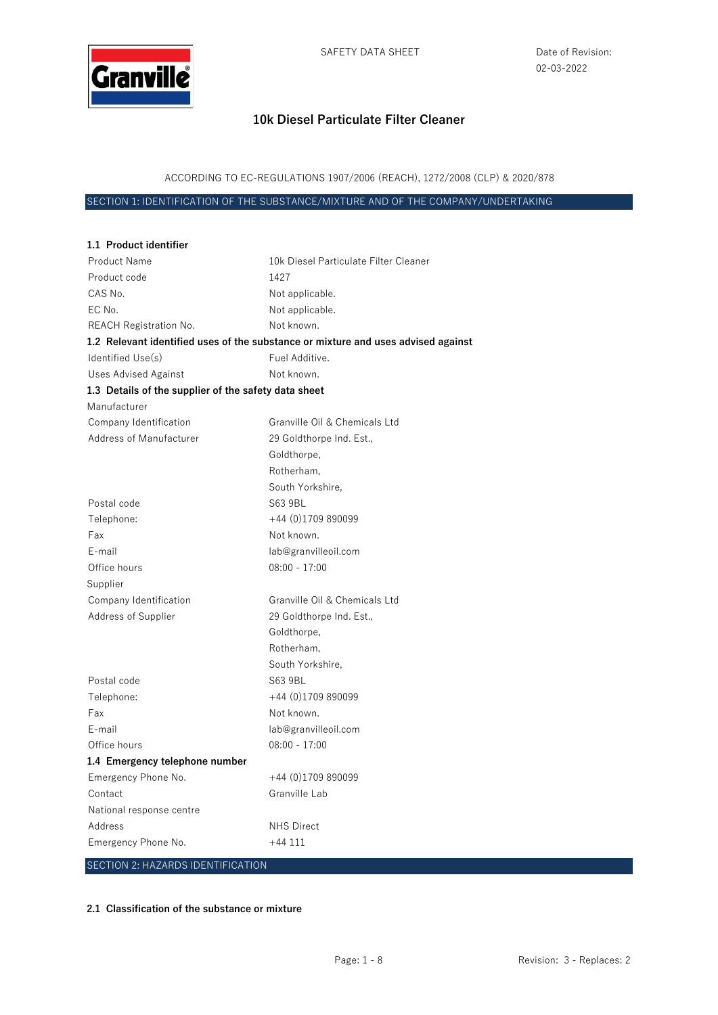

ACCORDING TO EC-REGULATIONS 1907/2006 (REACH), 1272/2008 (CLP) & 2020/878

SECTION 1: IDENTIFICATION OF THE SUBSTANCE/MIXTURE AND OF THE COMPANY/UNDERTAKING

| 1.1 Product identifier                               |                                                                                   |
|------------------------------------------------------|-----------------------------------------------------------------------------------|
| <b>Product Name</b>                                  | 10k Diesel Particulate Filter Cleaner                                             |
| Product code                                         | 1427                                                                              |
| CAS No.                                              | Not applicable.                                                                   |
| EC No.                                               | Not applicable.                                                                   |
| <b>REACH Registration No.</b>                        | Not known.                                                                        |
|                                                      | 1.2 Relevant identified uses of the substance or mixture and uses advised against |
| Identified Use(s)                                    | Fuel Additive.                                                                    |
| <b>Uses Advised Against</b>                          | Not known.                                                                        |
| 1.3 Details of the supplier of the safety data sheet |                                                                                   |
| Manufacturer                                         |                                                                                   |
| Company Identification                               | Granville Oil & Chemicals Ltd                                                     |
| Address of Manufacturer                              | 29 Goldthorpe Ind. Est.,                                                          |
|                                                      | Goldthorpe,                                                                       |
|                                                      | Rotherham,                                                                        |
|                                                      | South Yorkshire,                                                                  |
| Postal code                                          | S63 9BL                                                                           |
| Telephone:                                           | $+44(0)1709890099$                                                                |
| Fax                                                  | Not known.                                                                        |
| E-mail                                               | lab@granvilleoil.com                                                              |
| Office hours                                         | $08:00 - 17:00$                                                                   |
| Supplier                                             |                                                                                   |
| Company Identification                               | Granville Oil & Chemicals Ltd                                                     |
| Address of Supplier                                  | 29 Goldthorpe Ind. Est.,                                                          |
|                                                      | Goldthorpe,                                                                       |
|                                                      | Rotherham,                                                                        |
|                                                      | South Yorkshire,                                                                  |
| Postal code                                          | S63 9BL                                                                           |
| Telephone:                                           | $+44$ (0)1709 890099                                                              |
| Fax                                                  | Not known.                                                                        |
| E-mail                                               | lab@granvilleoil.com                                                              |
| Office hours                                         | $08:00 - 17:00$                                                                   |
| 1.4 Emergency telephone number                       |                                                                                   |
| Emergency Phone No.                                  | +44 (0)1709 890099                                                                |
| Contact                                              | Granville Lab                                                                     |
| National response centre                             |                                                                                   |
| Address                                              | <b>NHS Direct</b>                                                                 |
| Emergency Phone No.                                  | $+44111$                                                                          |
| SECTION 2: HAZARDS IDENTIFICATION                    |                                                                                   |

#### **2.1 Classification of the substance or mixture**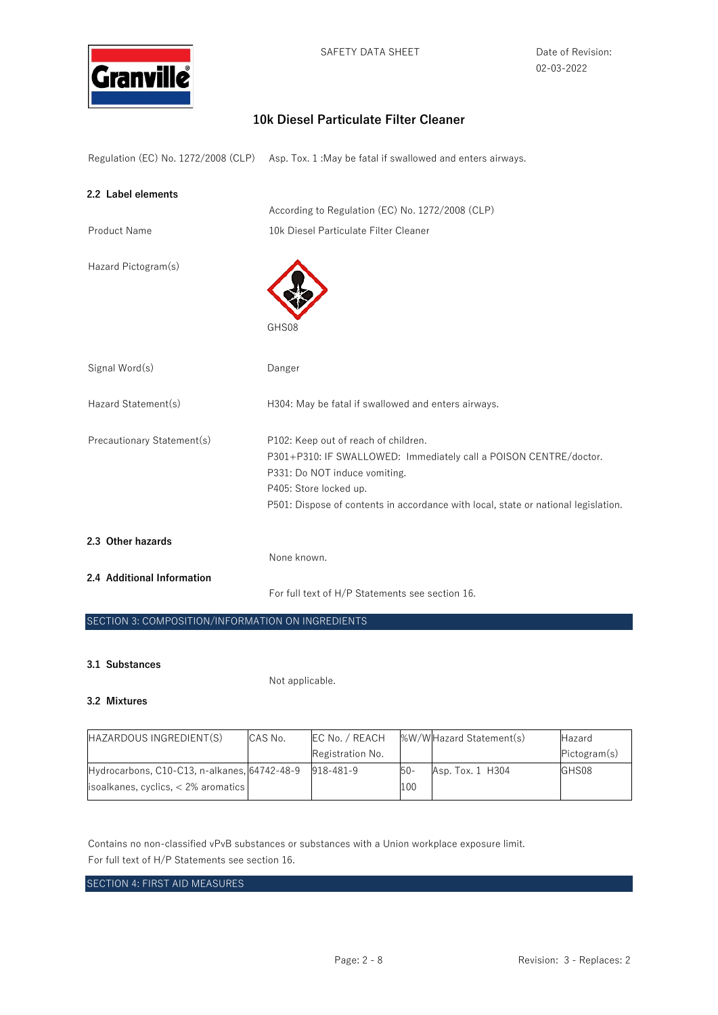

Regulation (EC) No. 1272/2008 (CLP) Asp. Tox. 1 :May be fatal if swallowed and enters airways.

| 2.2 Label elements         |                                                                                                                                                                                                                                                            |
|----------------------------|------------------------------------------------------------------------------------------------------------------------------------------------------------------------------------------------------------------------------------------------------------|
|                            | According to Regulation (EC) No. 1272/2008 (CLP)                                                                                                                                                                                                           |
| <b>Product Name</b>        | 10k Diesel Particulate Filter Cleaner                                                                                                                                                                                                                      |
| Hazard Pictogram(s)        | GHS08                                                                                                                                                                                                                                                      |
| Signal Word(s)             | Danger                                                                                                                                                                                                                                                     |
| Hazard Statement(s)        | H304: May be fatal if swallowed and enters airways.                                                                                                                                                                                                        |
| Precautionary Statement(s) | P102: Keep out of reach of children.<br>P301+P310: IF SWALLOWED: Immediately call a POISON CENTRE/doctor.<br>P331: Do NOT induce vomiting.<br>P405: Store locked up.<br>P501: Dispose of contents in accordance with local, state or national legislation. |
| 2.3 Other hazards          | None known.                                                                                                                                                                                                                                                |
| 2.4 Additional Information | For full text of H/P Statements see section 16.                                                                                                                                                                                                            |

### SECTION 3: COMPOSITION/INFORMATION ON INGREDIENTS

#### **3.1 Substances**

Not applicable.

#### **3.2 Mixtures**

| HAZARDOUS INGREDIENT(S)                      | CAS No. | EC No. / REACH   |        | %W/WHazard Statement(s) | Hazard       |
|----------------------------------------------|---------|------------------|--------|-------------------------|--------------|
|                                              |         | Registration No. |        |                         | Pictogram(s) |
| Hydrocarbons, C10-C13, n-alkanes, 64742-48-9 |         | 918-481-9        | $50 -$ | Asp. Tox. 1 H304        | GHS08        |
| $isoalkanes, cycles, < 2%$ aromatics         |         |                  | 100    |                         |              |

Contains no non-classified vPvB substances or substances with a Union workplace exposure limit. For full text of H/P Statements see section 16.

### SECTION 4: FIRST AID MEASURES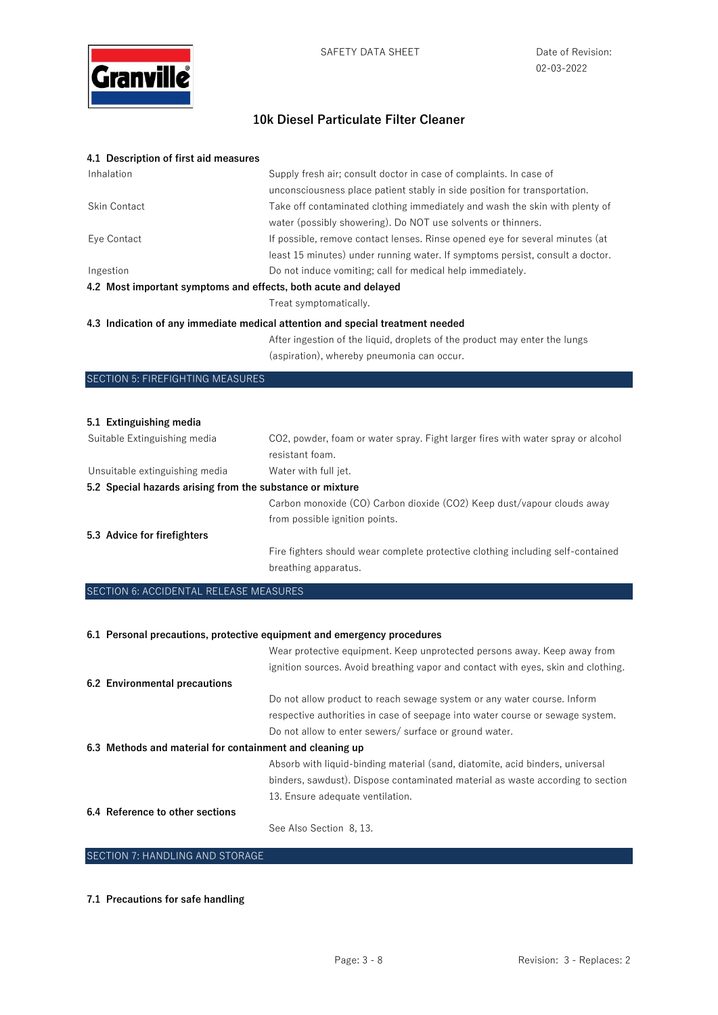

| 4.1 Description of first aid measures                           |                                                                                |  |
|-----------------------------------------------------------------|--------------------------------------------------------------------------------|--|
| Inhalation                                                      | Supply fresh air; consult doctor in case of complaints. In case of             |  |
|                                                                 | unconsciousness place patient stably in side position for transportation.      |  |
| Skin Contact                                                    | Take off contaminated clothing immediately and wash the skin with plenty of    |  |
|                                                                 | water (possibly showering). Do NOT use solvents or thinners.                   |  |
| Eye Contact                                                     | If possible, remove contact lenses. Rinse opened eye for several minutes (at   |  |
|                                                                 | least 15 minutes) under running water. If symptoms persist, consult a doctor.  |  |
| Ingestion                                                       | Do not induce vomiting; call for medical help immediately.                     |  |
| 4.2 Most important symptoms and effects, both acute and delayed |                                                                                |  |
|                                                                 | Treat symptomatically.                                                         |  |
|                                                                 | 4.3 Indication of any immediate medical attention and special treatment needed |  |
|                                                                 | After ingestion of the liquid, droplets of the product may enter the lungs     |  |
|                                                                 | (aspiration), whereby pneumonia can occur.                                     |  |
| <b>SECTION 5: FIREFIGHTING MEASURES</b>                         |                                                                                |  |

| 5.1 Extinguishing media                                   |                                                                                  |  |
|-----------------------------------------------------------|----------------------------------------------------------------------------------|--|
| Suitable Extinguishing media                              | CO2, powder, foam or water spray. Fight larger fires with water spray or alcohol |  |
|                                                           | resistant foam.                                                                  |  |
| Unsuitable extinguishing media                            | Water with full jet.                                                             |  |
| 5.2 Special hazards arising from the substance or mixture |                                                                                  |  |
|                                                           | Carbon monoxide (CO) Carbon dioxide (CO2) Keep dust/vapour clouds away           |  |
|                                                           | from possible ignition points.                                                   |  |
| 5.3 Advice for firefighters                               |                                                                                  |  |
|                                                           | Fire fighters should wear complete protective clothing including self-contained  |  |
|                                                           | breathing apparatus.                                                             |  |

# SECTION 6: ACCIDENTAL RELEASE MEASURES

| 6.1 Personal precautions, protective equipment and emergency procedures |                                                                                   |  |
|-------------------------------------------------------------------------|-----------------------------------------------------------------------------------|--|
|                                                                         | Wear protective equipment. Keep unprotected persons away. Keep away from          |  |
|                                                                         | ignition sources. Avoid breathing vapor and contact with eyes, skin and clothing. |  |
| 6.2 Environmental precautions                                           |                                                                                   |  |
|                                                                         | Do not allow product to reach sewage system or any water course. Inform           |  |
|                                                                         | respective authorities in case of seepage into water course or sewage system.     |  |
|                                                                         | Do not allow to enter sewers/ surface or ground water.                            |  |
| 6.3 Methods and material for containment and cleaning up                |                                                                                   |  |
|                                                                         | Absorb with liquid-binding material (sand, diatomite, acid binders, universal     |  |
|                                                                         | binders, sawdust). Dispose contaminated material as waste according to section    |  |
|                                                                         | 13. Ensure adequate ventilation.                                                  |  |
| 6.4 Reference to other sections                                         |                                                                                   |  |
|                                                                         | See Also Section 8, 13.                                                           |  |

# SECTION 7: HANDLING AND STORAGE

#### **7.1 Precautions for safe handling**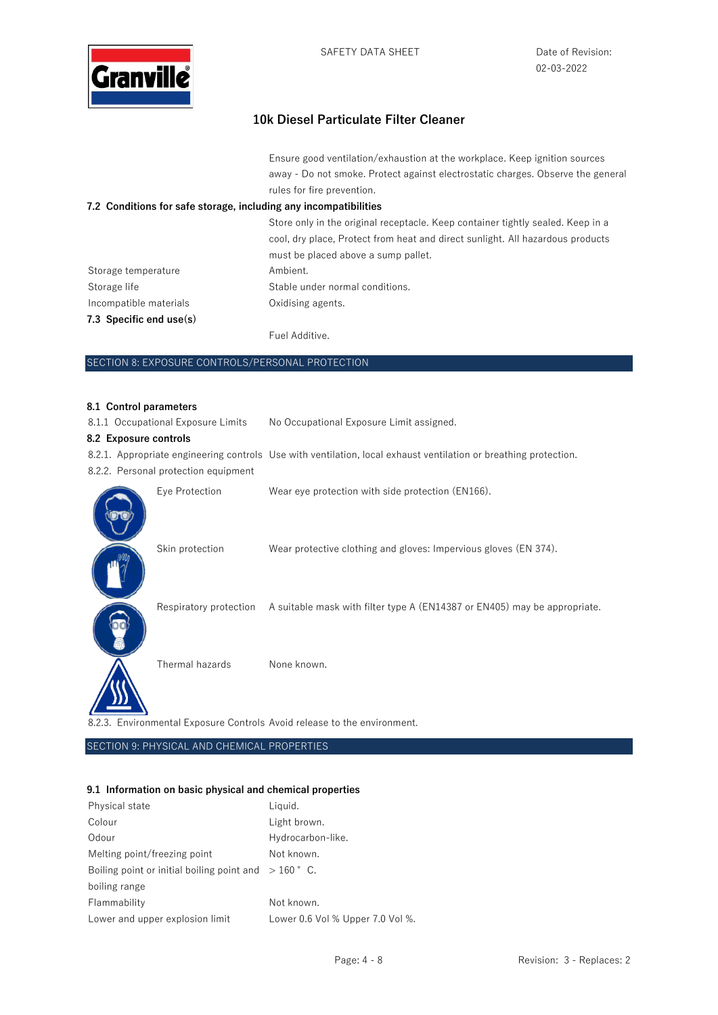

Ensure good ventilation/exhaustion at the workplace. Keep ignition sources away - Do not smoke. Protect against electrostatic charges. Observe the general rules for fire prevention.

### **7.2 Conditions for safe storage, including any incompatibilities**

|                           | Store only in the original receptacle. Keep container tightly sealed. Keep in a<br>cool, dry place, Protect from heat and direct sunlight. All hazardous products<br>must be placed above a sump pallet. |
|---------------------------|----------------------------------------------------------------------------------------------------------------------------------------------------------------------------------------------------------|
| Storage temperature       | Ambient.                                                                                                                                                                                                 |
| Storage life              | Stable under normal conditions.                                                                                                                                                                          |
| Incompatible materials    | Oxidising agents.                                                                                                                                                                                        |
| 7.3 Specific end $use(s)$ |                                                                                                                                                                                                          |
|                           | Fuel Additive.                                                                                                                                                                                           |

#### SECTION 8: EXPOSURE CONTROLS/PERSONAL PROTECTION

#### **8.1 Control parameters**

| <b>0.1 Control parameters</b>                                            |                                                                                                                  |  |
|--------------------------------------------------------------------------|------------------------------------------------------------------------------------------------------------------|--|
| 8.1.1 Occupational Exposure Limits                                       | No Occupational Exposure Limit assigned.                                                                         |  |
| 8.2 Exposure controls                                                    |                                                                                                                  |  |
|                                                                          | 8.2.1. Appropriate engineering controls Use with ventilation, local exhaust ventilation or breathing protection. |  |
| 8.2.2. Personal protection equipment                                     |                                                                                                                  |  |
| Eye Protection                                                           | Wear eye protection with side protection (EN166).                                                                |  |
| Skin protection                                                          | Wear protective clothing and gloves: Impervious gloves (EN 374).                                                 |  |
|                                                                          | Respiratory protection A suitable mask with filter type A (EN14387 or EN405) may be appropriate.                 |  |
| Thermal hazards                                                          | None known.                                                                                                      |  |
| 8.2.3. Environmental Exposure Controls Avoid release to the environment. |                                                                                                                  |  |

SECTION 9: PHYSICAL AND CHEMICAL PROPERTIES

# **9.1 Information on basic physical and chemical properties**

| Physical state                                         | Liquid.                          |
|--------------------------------------------------------|----------------------------------|
| Colour                                                 | Light brown.                     |
| Odour                                                  | Hydrocarbon-like.                |
| Melting point/freezing point                           | Not known.                       |
| Boiling point or initial boiling point and $>160$ ° C. |                                  |
| boiling range                                          |                                  |
| Flammability                                           | Not known.                       |
| Lower and upper explosion limit                        | Lower 0.6 Vol % Upper 7.0 Vol %. |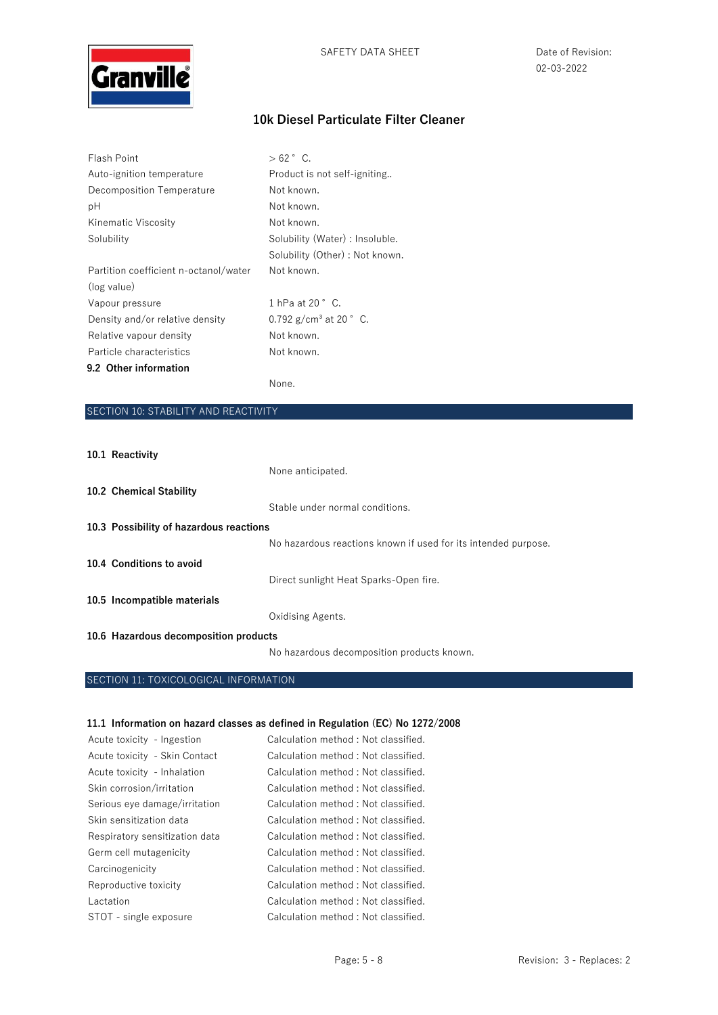

| Flash Point                           | $>62$ ° C.                         |
|---------------------------------------|------------------------------------|
| Auto-ignition temperature             | Product is not self-igniting       |
| Decomposition Temperature             | Not known.                         |
| рH                                    | Not known.                         |
| Kinematic Viscosity                   | Not known.                         |
| Solubility                            | Solubility (Water) : Insoluble.    |
|                                       | Solubility (Other) : Not known.    |
| Partition coefficient n-octanol/water | Not known.                         |
| (log value)                           |                                    |
| Vapour pressure                       | 1 hPa at 20 $^{\circ}$ C.          |
| Density and/or relative density       | 0.792 $g/cm^3$ at 20 $^{\circ}$ C. |
| Relative vapour density               | Not known.                         |
| Particle characteristics              | Not known.                         |
| 9.2 Other information                 |                                    |

None.

# SECTION 10: STABILITY AND REACTIVITY

### **10.1 Reactivity**

|                                         | None anticipated.                                              |
|-----------------------------------------|----------------------------------------------------------------|
| 10.2 Chemical Stability                 |                                                                |
|                                         | Stable under normal conditions.                                |
| 10.3 Possibility of hazardous reactions |                                                                |
|                                         | No hazardous reactions known if used for its intended purpose. |
| 10.4 Conditions to avoid                |                                                                |
|                                         | Direct sunlight Heat Sparks-Open fire.                         |
| 10.5 Incompatible materials             |                                                                |
|                                         | Oxidising Agents.                                              |
| 10.6 Hazardous decomposition products   |                                                                |
|                                         | No hazardous decomposition products known.                     |

# SECTION 11: TOXICOLOGICAL INFORMATION

#### **11.1 Information on hazard classes as defined in Regulation (EC) No 1272/2008**

| Acute toxicity - Ingestion     | Calculation method: Not classified. |
|--------------------------------|-------------------------------------|
| Acute toxicity - Skin Contact  | Calculation method: Not classified. |
| Acute toxicity - Inhalation    | Calculation method: Not classified. |
| Skin corrosion/irritation      | Calculation method: Not classified. |
| Serious eye damage/irritation  | Calculation method: Not classified. |
| Skin sensitization data        | Calculation method: Not classified. |
| Respiratory sensitization data | Calculation method: Not classified. |
| Germ cell mutagenicity         | Calculation method: Not classified. |
| Carcinogenicity                | Calculation method: Not classified. |
| Reproductive toxicity          | Calculation method: Not classified. |
| Lactation                      | Calculation method: Not classified. |
| STOT - single exposure         | Calculation method: Not classified. |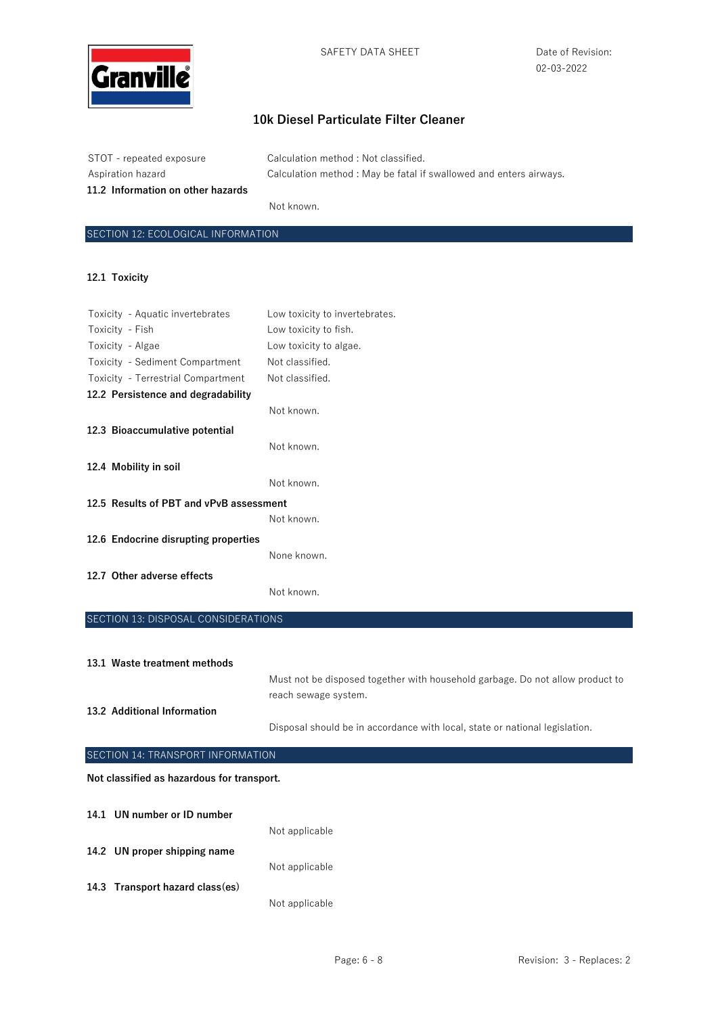

| STOT - repeated exposure          | Calculation method : Not classified.                              |
|-----------------------------------|-------------------------------------------------------------------|
| Aspiration hazard                 | Calculation method: May be fatal if swallowed and enters airways. |
| 11.2 Information on other hazards |                                                                   |

Not known.

# SECTION 12: ECOLOGICAL INFORMATION

#### **12.1 Toxicity**

| Toxicity - Aquatic invertebrates        | Low toxicity to invertebrates. |
|-----------------------------------------|--------------------------------|
| Toxicity - Fish                         | Low toxicity to fish.          |
| Toxicity - Algae                        | Low toxicity to algae.         |
| Toxicity - Sediment Compartment         | Not classified.                |
| Toxicity - Terrestrial Compartment      | Not classified.                |
| 12.2 Persistence and degradability      |                                |
|                                         | Not known.                     |
| 12.3 Bioaccumulative potential          |                                |
|                                         | Not known.                     |
| 12.4 Mobility in soil                   |                                |
|                                         | Not known.                     |
| 12.5 Results of PBT and vPvB assessment |                                |
|                                         | Not known.                     |
| 12.6 Endocrine disrupting properties    |                                |
|                                         | None known.                    |
| 12.7 Other adverse effects              |                                |
|                                         | Not known.                     |
|                                         |                                |

### SECTION 13: DISPOSAL CONSIDERATIONS

|                             | 13.1 Waste treatment methods |                                                                                                       |
|-----------------------------|------------------------------|-------------------------------------------------------------------------------------------------------|
|                             |                              | Must not be disposed together with household garbage. Do not allow product to<br>reach sewage system. |
| 13.2 Additional Information |                              |                                                                                                       |
|                             |                              | Disposal should be in accordance with local, state or national legislation.                           |

| SECTION 14: TRANSPORT INFORMATION          |                                 |                |  |
|--------------------------------------------|---------------------------------|----------------|--|
| Not classified as hazardous for transport. |                                 |                |  |
|                                            | 14.1 UN number or ID number     | Not applicable |  |
|                                            | 14.2 UN proper shipping name    |                |  |
|                                            | 14.3 Transport hazard class(es) | Not applicable |  |
|                                            |                                 | Not applicable |  |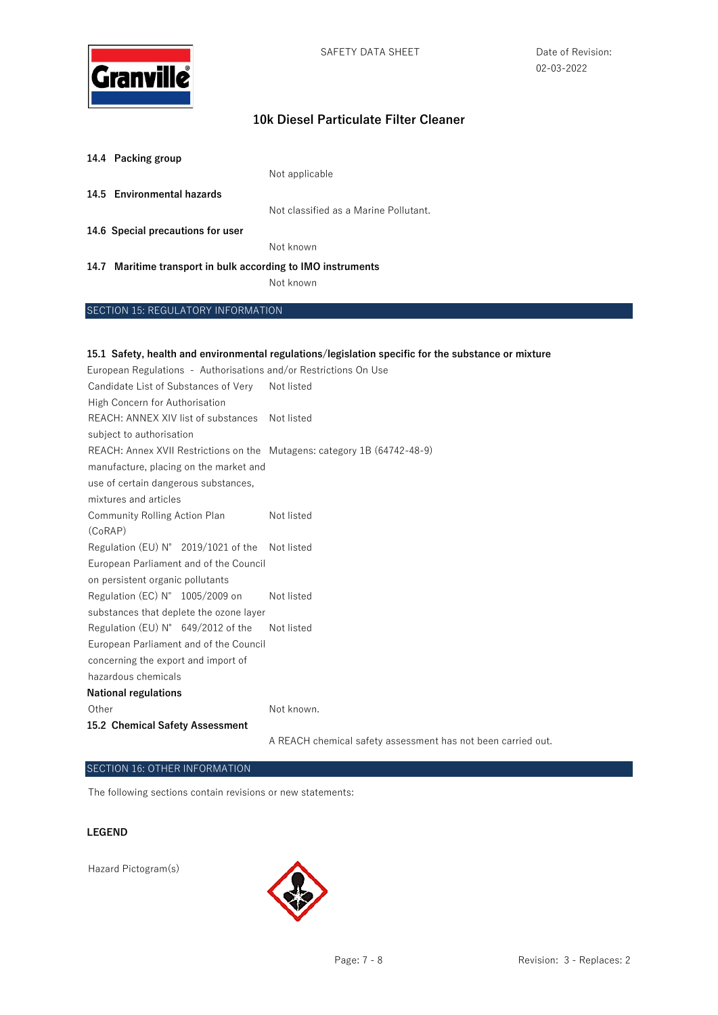

| 14.4 Packing group         |                                       |
|----------------------------|---------------------------------------|
|                            | Not applicable                        |
| 14.5 Environmental hazards |                                       |
|                            | Not classified as a Marine Pollutant. |

**14.6 Special precautions for user** 

Not known

#### **14.7 Maritime transport in bulk according to IMO instruments**

Not known

#### SECTION 15: REGULATORY INFORMATION

#### **15.1 Safety, health and environmental regulations/legislation specific for the substance or mixture**

European Regulations - Authorisations and/or Restrictions On Use Candidate List of Substances of Very Not listed High Concern for Authorisation REACH: ANNEX XIV list of substances Not listed subject to authorisation REACH: Annex XVII Restrictions on the Mutagens: category 1B (64742-48-9) manufacture, placing on the market and use of certain dangerous substances, mixtures and articles Community Rolling Action Plan (CoRAP) Not listed Regulation (EU) N° 2019/1021 of the Not listed European Parliament and of the Council on persistent organic pollutants Regulation (EC) N° 1005/2009 on substances that deplete the ozone layer Not listed Regulation (EU) N° 649/2012 of the European Parliament and of the Council concerning the export and import of hazardous chemicals Not listed **National regulations** Other Not known. **15.2 Chemical Safety Assessment**  A REACH chemical safety assessment has not been carried out.

#### SECTION 16: OTHER INFORMATION

The following sections contain revisions or new statements:

#### **LEGEND**

Hazard Pictogram(s)